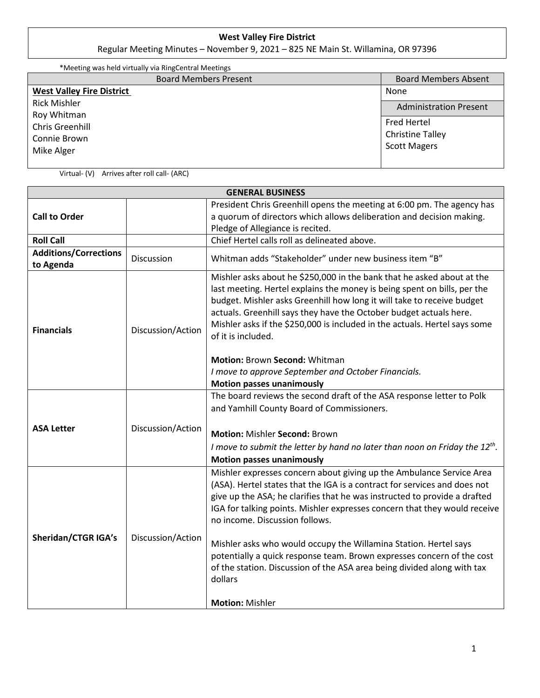## **West Valley Fire District**

Regular Meeting Minutes – November 9, 2021 – 825 NE Main St. Willamina, OR 97396

| *Meeting was held virtually via RingCentral Meetings |                               |
|------------------------------------------------------|-------------------------------|
| <b>Board Members Present</b>                         | <b>Board Members Absent</b>   |
| <b>West Valley Fire District</b>                     | None                          |
| <b>Rick Mishler</b>                                  | <b>Administration Present</b> |
| Roy Whitman                                          |                               |
| <b>Chris Greenhill</b>                               | <b>Fred Hertel</b>            |
| Connie Brown                                         | <b>Christine Talley</b>       |
| Mike Alger                                           | <b>Scott Magers</b>           |
|                                                      |                               |

Virtual- (V) Arrives after roll call- (ARC)

| <b>GENERAL BUSINESS</b>                   |                   |                                                                                                                                                                                                                                                                                                                                                                                                                                                                                                                                                                                                                       |  |
|-------------------------------------------|-------------------|-----------------------------------------------------------------------------------------------------------------------------------------------------------------------------------------------------------------------------------------------------------------------------------------------------------------------------------------------------------------------------------------------------------------------------------------------------------------------------------------------------------------------------------------------------------------------------------------------------------------------|--|
| <b>Call to Order</b>                      |                   | President Chris Greenhill opens the meeting at 6:00 pm. The agency has<br>a quorum of directors which allows deliberation and decision making.<br>Pledge of Allegiance is recited.                                                                                                                                                                                                                                                                                                                                                                                                                                    |  |
| <b>Roll Call</b>                          |                   | Chief Hertel calls roll as delineated above.                                                                                                                                                                                                                                                                                                                                                                                                                                                                                                                                                                          |  |
| <b>Additions/Corrections</b><br>to Agenda | Discussion        | Whitman adds "Stakeholder" under new business item "B"                                                                                                                                                                                                                                                                                                                                                                                                                                                                                                                                                                |  |
| <b>Financials</b>                         | Discussion/Action | Mishler asks about he \$250,000 in the bank that he asked about at the<br>last meeting. Hertel explains the money is being spent on bills, per the<br>budget. Mishler asks Greenhill how long it will take to receive budget<br>actuals. Greenhill says they have the October budget actuals here.<br>Mishler asks if the \$250,000 is included in the actuals. Hertel says some<br>of it is included.<br><b>Motion: Brown Second: Whitman</b><br>I move to approve September and October Financials.                                                                                                                 |  |
|                                           |                   | <b>Motion passes unanimously</b>                                                                                                                                                                                                                                                                                                                                                                                                                                                                                                                                                                                      |  |
| <b>ASA Letter</b>                         | Discussion/Action | The board reviews the second draft of the ASA response letter to Polk<br>and Yamhill County Board of Commissioners.<br><b>Motion: Mishler Second: Brown</b><br>I move to submit the letter by hand no later than noon on Friday the $12^{th}$ .                                                                                                                                                                                                                                                                                                                                                                       |  |
| <b>Sheridan/CTGR IGA's</b>                | Discussion/Action | <b>Motion passes unanimously</b><br>Mishler expresses concern about giving up the Ambulance Service Area<br>(ASA). Hertel states that the IGA is a contract for services and does not<br>give up the ASA; he clarifies that he was instructed to provide a drafted<br>IGA for talking points. Mishler expresses concern that they would receive<br>no income. Discussion follows.<br>Mishler asks who would occupy the Willamina Station. Hertel says<br>potentially a quick response team. Brown expresses concern of the cost<br>of the station. Discussion of the ASA area being divided along with tax<br>dollars |  |
|                                           |                   | <b>Motion: Mishler</b>                                                                                                                                                                                                                                                                                                                                                                                                                                                                                                                                                                                                |  |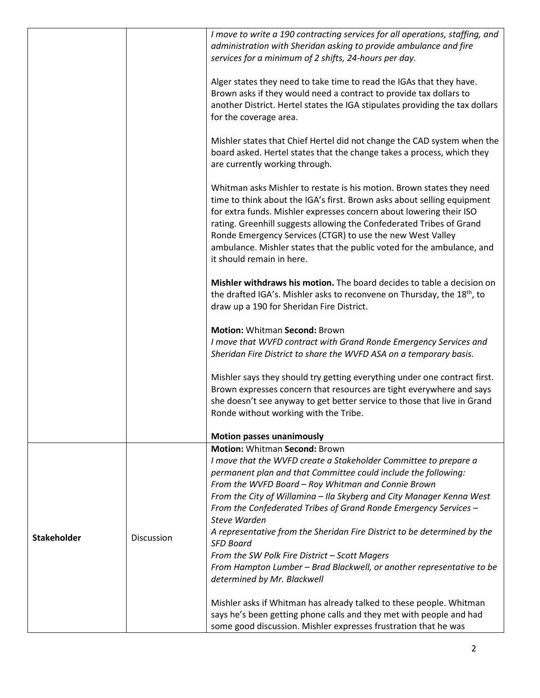|                    |            | I move to write a 190 contracting services for all operations, staffing, and<br>administration with Sheridan asking to provide ambulance and fire<br>services for a minimum of 2 shifts, 24-hours per day.                                                                                                                                                                                                                                                           |
|--------------------|------------|----------------------------------------------------------------------------------------------------------------------------------------------------------------------------------------------------------------------------------------------------------------------------------------------------------------------------------------------------------------------------------------------------------------------------------------------------------------------|
|                    |            | Alger states they need to take time to read the IGAs that they have.<br>Brown asks if they would need a contract to provide tax dollars to<br>another District. Hertel states the IGA stipulates providing the tax dollars<br>for the coverage area.                                                                                                                                                                                                                 |
|                    |            | Mishler states that Chief Hertel did not change the CAD system when the<br>board asked. Hertel states that the change takes a process, which they<br>are currently working through.                                                                                                                                                                                                                                                                                  |
|                    |            | Whitman asks Mishler to restate is his motion. Brown states they need<br>time to think about the IGA's first. Brown asks about selling equipment<br>for extra funds. Mishler expresses concern about lowering their ISO<br>rating. Greenhill suggests allowing the Confederated Tribes of Grand<br>Ronde Emergency Services (CTGR) to use the new West Valley<br>ambulance. Mishler states that the public voted for the ambulance, and<br>it should remain in here. |
|                    |            | Mishler withdraws his motion. The board decides to table a decision on<br>the drafted IGA's. Mishler asks to reconvene on Thursday, the 18 <sup>th</sup> , to<br>draw up a 190 for Sheridan Fire District.                                                                                                                                                                                                                                                           |
|                    |            | <b>Motion: Whitman Second: Brown</b>                                                                                                                                                                                                                                                                                                                                                                                                                                 |
|                    |            | I move that WVFD contract with Grand Ronde Emergency Services and                                                                                                                                                                                                                                                                                                                                                                                                    |
|                    |            | Sheridan Fire District to share the WVFD ASA on a temporary basis.                                                                                                                                                                                                                                                                                                                                                                                                   |
|                    |            | Mishler says they should try getting everything under one contract first.<br>Brown expresses concern that resources are tight everywhere and says<br>she doesn't see anyway to get better service to those that live in Grand<br>Ronde without working with the Tribe.                                                                                                                                                                                               |
|                    |            |                                                                                                                                                                                                                                                                                                                                                                                                                                                                      |
|                    |            | <b>Motion passes unanimously</b>                                                                                                                                                                                                                                                                                                                                                                                                                                     |
|                    |            | <b>Motion: Whitman Second: Brown</b>                                                                                                                                                                                                                                                                                                                                                                                                                                 |
|                    |            | I move that the WVFD create a Stakeholder Committee to prepare a<br>permanent plan and that Committee could include the following:                                                                                                                                                                                                                                                                                                                                   |
|                    |            | From the WVFD Board - Roy Whitman and Connie Brown                                                                                                                                                                                                                                                                                                                                                                                                                   |
|                    |            | From the City of Willamina - Ila Skyberg and City Manager Kenna West                                                                                                                                                                                                                                                                                                                                                                                                 |
|                    |            | From the Confederated Tribes of Grand Ronde Emergency Services -                                                                                                                                                                                                                                                                                                                                                                                                     |
| <b>Stakeholder</b> |            | Steve Warden                                                                                                                                                                                                                                                                                                                                                                                                                                                         |
|                    | Discussion | A representative from the Sheridan Fire District to be determined by the<br><b>SFD Board</b>                                                                                                                                                                                                                                                                                                                                                                         |
|                    |            | From the SW Polk Fire District - Scott Magers                                                                                                                                                                                                                                                                                                                                                                                                                        |
|                    |            | From Hampton Lumber - Brad Blackwell, or another representative to be<br>determined by Mr. Blackwell                                                                                                                                                                                                                                                                                                                                                                 |
|                    |            | Mishler asks if Whitman has already talked to these people. Whitman<br>says he's been getting phone calls and they met with people and had                                                                                                                                                                                                                                                                                                                           |
|                    |            | some good discussion. Mishler expresses frustration that he was                                                                                                                                                                                                                                                                                                                                                                                                      |